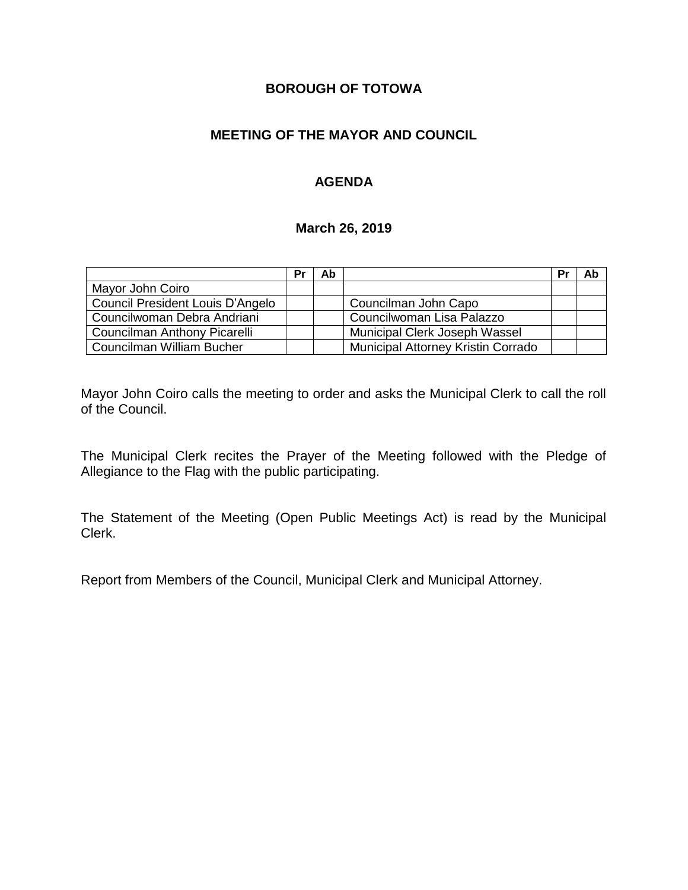# **BOROUGH OF TOTOWA**

# **MEETING OF THE MAYOR AND COUNCIL**

# **AGENDA**

#### **March 26, 2019**

|                                  | Pr | Ab |                                    | Pr | Ab |
|----------------------------------|----|----|------------------------------------|----|----|
| Mayor John Coiro                 |    |    |                                    |    |    |
| Council President Louis D'Angelo |    |    | Councilman John Capo               |    |    |
| Councilwoman Debra Andriani      |    |    | Councilwoman Lisa Palazzo          |    |    |
| Councilman Anthony Picarelli     |    |    | Municipal Clerk Joseph Wassel      |    |    |
| Councilman William Bucher        |    |    | Municipal Attorney Kristin Corrado |    |    |

Mayor John Coiro calls the meeting to order and asks the Municipal Clerk to call the roll of the Council.

The Municipal Clerk recites the Prayer of the Meeting followed with the Pledge of Allegiance to the Flag with the public participating.

The Statement of the Meeting (Open Public Meetings Act) is read by the Municipal Clerk.

Report from Members of the Council, Municipal Clerk and Municipal Attorney.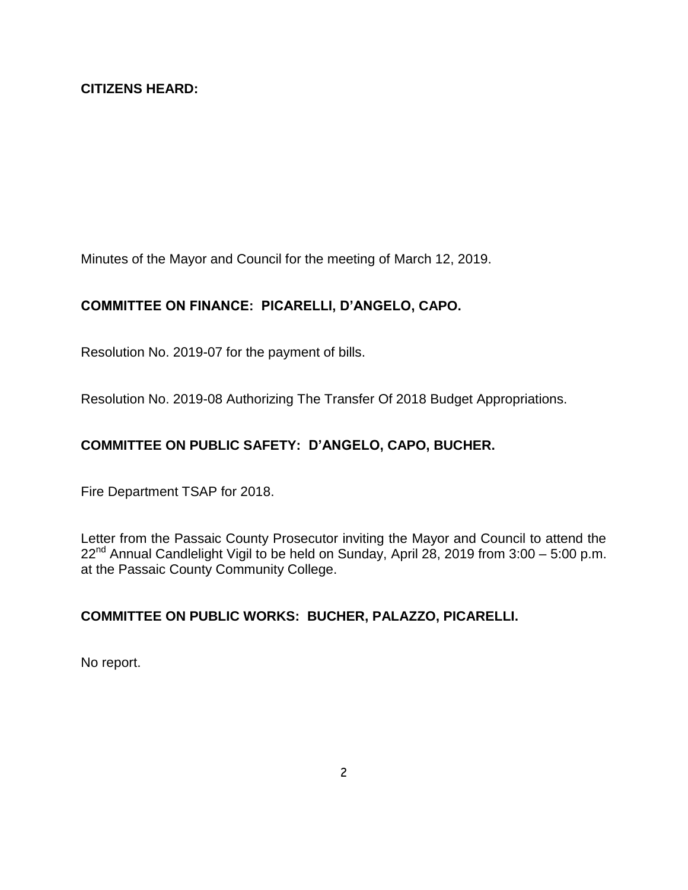Minutes of the Mayor and Council for the meeting of March 12, 2019.

# **COMMITTEE ON FINANCE: PICARELLI, D'ANGELO, CAPO.**

Resolution No. 2019-07 for the payment of bills.

Resolution No. 2019-08 Authorizing The Transfer Of 2018 Budget Appropriations.

# **COMMITTEE ON PUBLIC SAFETY: D'ANGELO, CAPO, BUCHER.**

Fire Department TSAP for 2018.

Letter from the Passaic County Prosecutor inviting the Mayor and Council to attend the  $22^{nd}$  Annual Candlelight Vigil to be held on Sunday, April 28, 2019 from 3:00 – 5:00 p.m. at the Passaic County Community College.

# **COMMITTEE ON PUBLIC WORKS: BUCHER, PALAZZO, PICARELLI.**

No report.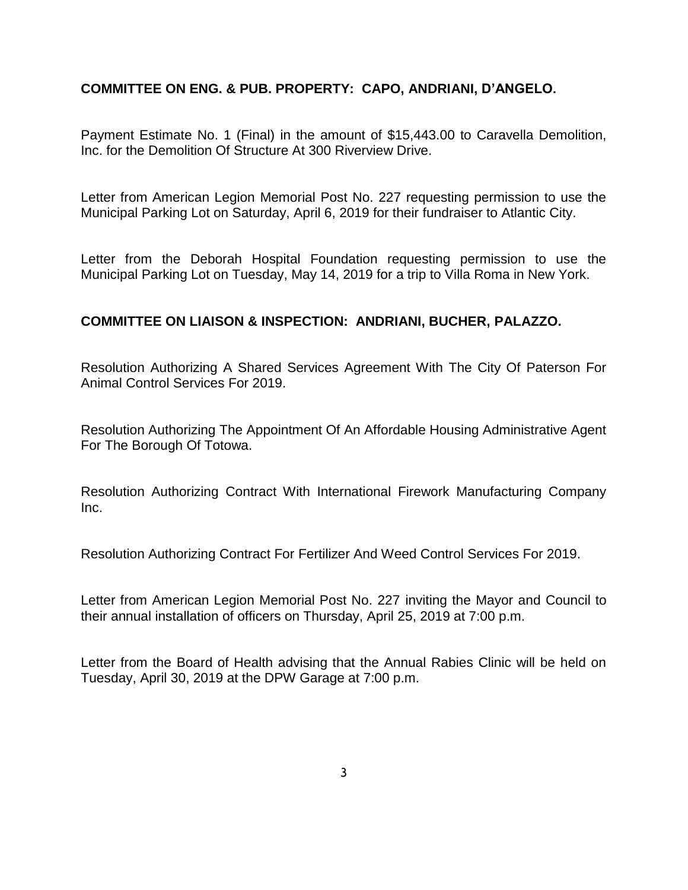### **COMMITTEE ON ENG. & PUB. PROPERTY: CAPO, ANDRIANI, D'ANGELO.**

Payment Estimate No. 1 (Final) in the amount of \$15,443.00 to Caravella Demolition, Inc. for the Demolition Of Structure At 300 Riverview Drive.

Letter from American Legion Memorial Post No. 227 requesting permission to use the Municipal Parking Lot on Saturday, April 6, 2019 for their fundraiser to Atlantic City.

Letter from the Deborah Hospital Foundation requesting permission to use the Municipal Parking Lot on Tuesday, May 14, 2019 for a trip to Villa Roma in New York.

### **COMMITTEE ON LIAISON & INSPECTION: ANDRIANI, BUCHER, PALAZZO.**

Resolution Authorizing A Shared Services Agreement With The City Of Paterson For Animal Control Services For 2019.

Resolution Authorizing The Appointment Of An Affordable Housing Administrative Agent For The Borough Of Totowa.

Resolution Authorizing Contract With International Firework Manufacturing Company Inc.

Resolution Authorizing Contract For Fertilizer And Weed Control Services For 2019.

Letter from American Legion Memorial Post No. 227 inviting the Mayor and Council to their annual installation of officers on Thursday, April 25, 2019 at 7:00 p.m.

Letter from the Board of Health advising that the Annual Rabies Clinic will be held on Tuesday, April 30, 2019 at the DPW Garage at 7:00 p.m.